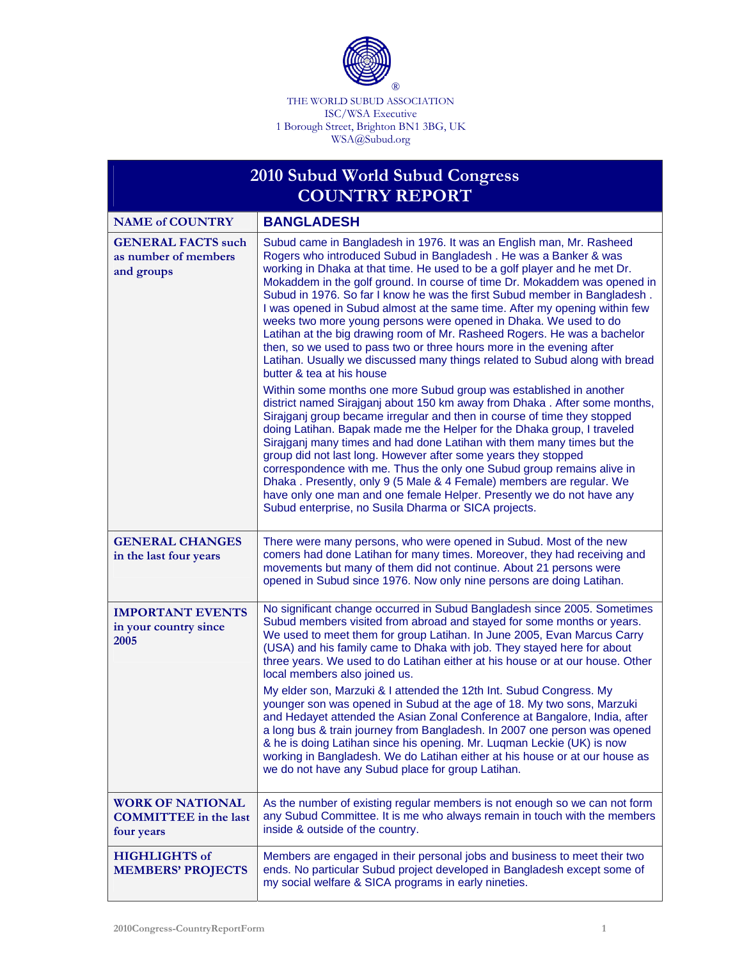

THE WORLD SUBUD ASSOCIATION ISC/WSA Executive 1 Borough Street, Brighton BN1 3BG, UK WSA@Subud.org

## **2010 Subud World Subud Congress COUNTRY REPORT**

| <b>NAME of COUNTRY</b>                                          | <b>BANGLADESH</b>                                                                                                                                                                                                                                                                                                                                                                                                                                                                                                                                                                                                                                                                                                                                                                                                                                                                                                                                                                                                                                                                                                                                                                                                                                                                                                                                                                                                                                                                                                                           |
|-----------------------------------------------------------------|---------------------------------------------------------------------------------------------------------------------------------------------------------------------------------------------------------------------------------------------------------------------------------------------------------------------------------------------------------------------------------------------------------------------------------------------------------------------------------------------------------------------------------------------------------------------------------------------------------------------------------------------------------------------------------------------------------------------------------------------------------------------------------------------------------------------------------------------------------------------------------------------------------------------------------------------------------------------------------------------------------------------------------------------------------------------------------------------------------------------------------------------------------------------------------------------------------------------------------------------------------------------------------------------------------------------------------------------------------------------------------------------------------------------------------------------------------------------------------------------------------------------------------------------|
| <b>GENERAL FACTS such</b><br>as number of members<br>and groups | Subud came in Bangladesh in 1976. It was an English man, Mr. Rasheed<br>Rogers who introduced Subud in Bangladesh. He was a Banker & was<br>working in Dhaka at that time. He used to be a golf player and he met Dr.<br>Mokaddem in the golf ground. In course of time Dr. Mokaddem was opened in<br>Subud in 1976. So far I know he was the first Subud member in Bangladesh.<br>I was opened in Subud almost at the same time. After my opening within few<br>weeks two more young persons were opened in Dhaka. We used to do<br>Latihan at the big drawing room of Mr. Rasheed Rogers. He was a bachelor<br>then, so we used to pass two or three hours more in the evening after<br>Latihan. Usually we discussed many things related to Subud along with bread<br>butter & tea at his house<br>Within some months one more Subud group was established in another<br>district named Sirajganj about 150 km away from Dhaka. After some months,<br>Sirajganj group became irregular and then in course of time they stopped<br>doing Latihan. Bapak made me the Helper for the Dhaka group, I traveled<br>Sirajganj many times and had done Latihan with them many times but the<br>group did not last long. However after some years they stopped<br>correspondence with me. Thus the only one Subud group remains alive in<br>Dhaka. Presently, only 9 (5 Male & 4 Female) members are regular. We<br>have only one man and one female Helper. Presently we do not have any<br>Subud enterprise, no Susila Dharma or SICA projects. |
|                                                                 |                                                                                                                                                                                                                                                                                                                                                                                                                                                                                                                                                                                                                                                                                                                                                                                                                                                                                                                                                                                                                                                                                                                                                                                                                                                                                                                                                                                                                                                                                                                                             |
| <b>GENERAL CHANGES</b><br>in the last four years                | There were many persons, who were opened in Subud. Most of the new<br>comers had done Latihan for many times. Moreover, they had receiving and<br>movements but many of them did not continue. About 21 persons were<br>opened in Subud since 1976. Now only nine persons are doing Latihan.                                                                                                                                                                                                                                                                                                                                                                                                                                                                                                                                                                                                                                                                                                                                                                                                                                                                                                                                                                                                                                                                                                                                                                                                                                                |
| <b>IMPORTANT EVENTS</b><br>in your country since<br>2005        | No significant change occurred in Subud Bangladesh since 2005. Sometimes<br>Subud members visited from abroad and stayed for some months or years.<br>We used to meet them for group Latihan. In June 2005, Evan Marcus Carry<br>(USA) and his family came to Dhaka with job. They stayed here for about<br>three years. We used to do Latihan either at his house or at our house. Other<br>local members also joined us.<br>My elder son, Marzuki & I attended the 12th Int. Subud Congress. My<br>younger son was opened in Subud at the age of 18. My two sons, Marzuki<br>and Hedayet attended the Asian Zonal Conference at Bangalore, India, after<br>a long bus & train journey from Bangladesh. In 2007 one person was opened<br>& he is doing Latihan since his opening. Mr. Luqman Leckie (UK) is now<br>working in Bangladesh. We do Latihan either at his house or at our house as<br>we do not have any Subud place for group Latihan.                                                                                                                                                                                                                                                                                                                                                                                                                                                                                                                                                                                        |
| <b>WORK OF NATIONAL</b>                                         | As the number of existing regular members is not enough so we can not form                                                                                                                                                                                                                                                                                                                                                                                                                                                                                                                                                                                                                                                                                                                                                                                                                                                                                                                                                                                                                                                                                                                                                                                                                                                                                                                                                                                                                                                                  |
| <b>COMMITTEE</b> in the last<br>four years                      | any Subud Committee. It is me who always remain in touch with the members<br>inside & outside of the country.                                                                                                                                                                                                                                                                                                                                                                                                                                                                                                                                                                                                                                                                                                                                                                                                                                                                                                                                                                                                                                                                                                                                                                                                                                                                                                                                                                                                                               |
| <b>HIGHLIGHTS of</b><br><b>MEMBERS' PROJECTS</b>                | Members are engaged in their personal jobs and business to meet their two<br>ends. No particular Subud project developed in Bangladesh except some of<br>my social welfare & SICA programs in early nineties.                                                                                                                                                                                                                                                                                                                                                                                                                                                                                                                                                                                                                                                                                                                                                                                                                                                                                                                                                                                                                                                                                                                                                                                                                                                                                                                               |